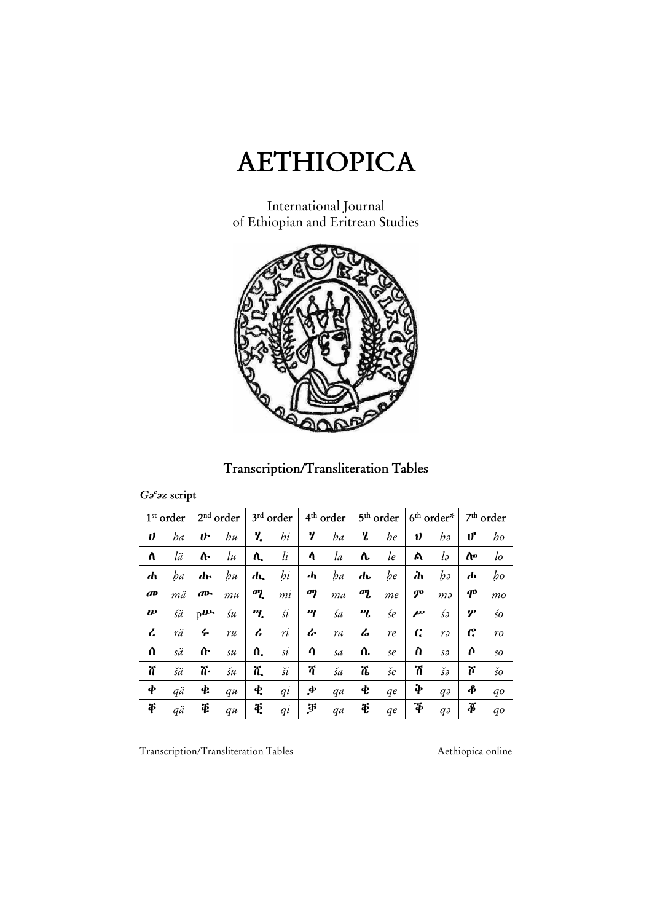

International Journal of Ethiopian and Eritrean Studies





#### $G^{\circ}$ az script

| 1 <sup>st</sup> order         |    | 2 <sup>nd</sup> order |    | 3rd order |                 | 4 <sup>th</sup> order |    | 5 <sup>th</sup> order |    | $6th order*$       |                | 7 <sup>th</sup> order |              |
|-------------------------------|----|-----------------------|----|-----------|-----------------|-----------------------|----|-----------------------|----|--------------------|----------------|-----------------------|--------------|
| V                             | ha | ゖ                     | hu | Ľ.        | $\overline{bi}$ | Y                     | ha | ľ                     | he | V                  | hə             | V                     | ho           |
| ለ                             | lä | ሉ                     | lu | ሊ.        | li              | ሳ                     | la | ሌ                     | le | ል                  | lə             | ሎ                     | lo           |
| ሐ                             | ha | ሐ•                    | hu | ሐ.        | hi              | ሓ                     | hа | $\mathbf{d}$          | he | ሕ                  | hә             | ሐ                     | ho           |
| $\boldsymbol{d}^{\mathrm{D}}$ | mä | $\boldsymbol{d}$      | ти | ሚ         | mı              | ГĮ                    | ma | ሜ                     | me | ም                  | тә             | Ф                     | mo           |
| w                             | śä | $p^{\mu \nu}$         | śи | Ч.        | śi              | ખ                     | śa | ሤ                     | śe | $\boldsymbol{\mu}$ | śә             | ሦ                     | śο           |
| ረ                             | rä | ሩ                     | ru | ሪ         | ri              | ራ                     | ra | ሬ                     | re | C.                 | rə             | C                     | ro           |
| ሰ                             | sä | ሱ                     | su | ሲ         | si              | ሳ                     | sa | ሴ                     | se | À                  | sə             | ሶ                     | so           |
| ñ                             | šä | ሹ                     | šu | ሺ.        | ši              | ์ กุ                  | ša | ሼ                     | še | 'n                 | $\check{s}$ ə  | ሾ                     | $\check{so}$ |
| ф                             | qä | ф.                    | qu | ¢         | qi              | ቃ                     | qa | ф                     | qe | Þ                  | $q_{\partial}$ | \$                    | qo           |
| $\ddot{\phi}$                 | qä | Ę                     | qu | Ę         | qi              | Į                     | qa | Ŧ                     | qe | 7                  | $q\partial$    | F                     | $q_{0}$      |

Transcription/Transliteration Tables

Aethiopica online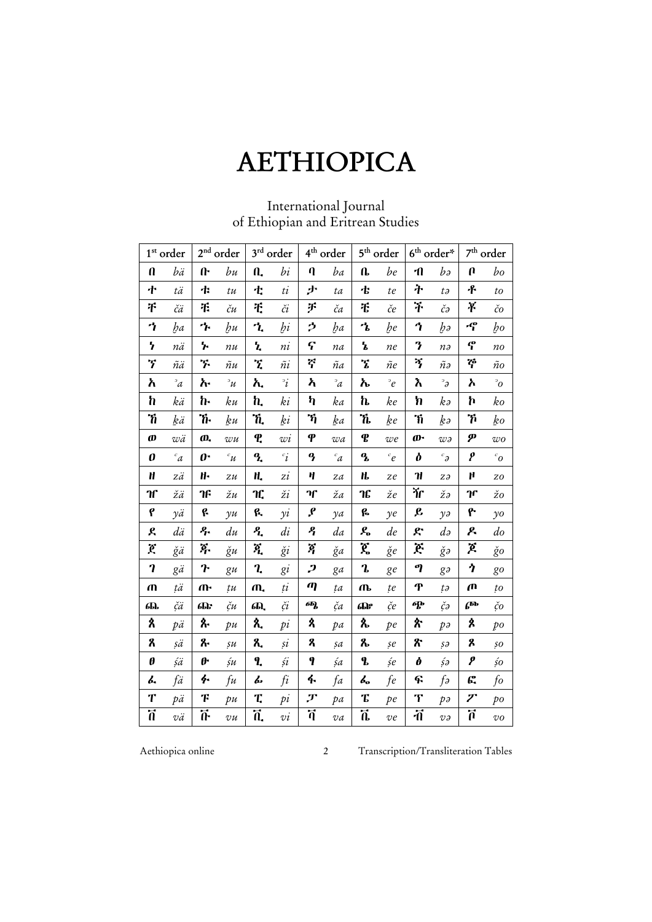## AETHIOPICA

### $1^{st}$  order  $2^{nd}$  order  $3^{rd}$  order  $4^{th}$  order  $5^{th}$  order  $6^{th}$  order\*  $7^{th}$  order በ *bä* ቡ *bu* ቢ *bi* ባ *ba* ቤ *be* ብ *bǝ* ቦ *bo*  ተ *tä* ቱ *tu* ቲ *ti* ታ *ta* ቴ *te* ት *tǝ* ቶ *to*  ቸ *čä* ቹ *ču* ቺ *či* ቻ *ča* ቼ *če* ች *čǝ* ቾ *čo*  ኀ *ḫa* ኁ *ḫu* ኂ *ḫi* ኃ *ḫa* ኄ *ḫe* ኅ *ḫǝ* ኆ *ḫo*  ነ *nä* ኑ *nu* ኒ *ni* ና *na* ኔ *ne* ን *nǝ* ኖ *no*  ኘ *ñä* ኙ *ñu* ኚ *ñi* ኛ *ña* ኜ *ñe* ኝ *ñǝ* ኞ *ño*  አ *ʾa* ኡ *ʾu* ኢ *ʾi* ኣ *ʾa* ኤ *ʾe* እ *ʾǝ* ኦ *ʾo*  ከ *kä* ኩ *ku* ኪ *ki* ካ *ka* ኬ *ke* ክ *kǝ* ኮ *ko*  ኸ *ḵä* ኹ *ḵu* ኺ *ḵi* ኻ *ḵa* ኼ *ḵe* ኽ *ḵǝ* ኾ *ḵo*   $\bm{\omega}$   $w\ddot{a}$   $\bm{\omega}$   $w\ddot{a}$   $\bm{\omega}$   $\bm{\omega}$   $\bm{\omega}$   $\bm{\omega}$   $\bm{\omega}$   $\bm{\omega}$   $\bm{\omega}$   $\bm{\omega}$   $\bm{\omega}$   $\bm{\omega}$   $\bm{\omega}$   $\bm{\omega}$   $\bm{\omega}$   $\bm{\omega}$   $\bm{\omega}$   $\bm{\omega}$   $\bm{\omega}$   $\bm{\omega}$   $\bm{\omega}$   $\bm{\omega}$   $\bm{\omega}$   $\bm{\omega}$   $\bm{\omega}$  ዐ *ʿa* ዑ *ʿu* ዒ *ʿi* ዓ *ʿa* ዔ *ʿe* ዕ *ʿǝ* ዖ *ʿo*  ዘ *zä* ዙ *zu* ዚ *zi* ዛ *za* ዜ *ze* ዝ *zǝ* ዞ *zo*  ዠ *žä* ዡ *žu* ዢ *ži* ዣ *ža* ዤ *že* ዥ *žǝ* ዦ *žo*  የ *yä* ዩ *yu* ዪ *yi* ያ *ya* ዬ *ye* ይ *yǝ* ዮ *yo*  ደ *dä* ዱ *du* ዲ *di* ዳ *da* ዴ *de* ድ *dǝ* ዶ *do*  ጀ *ǧä* ጁ *ǧu* ጂ *ǧi* ጃ *ǧa* ጄ *ǧe* ጅ *ǧǝ* ጆ *ǧo*  ገ *gä* ጉ *gu* ጊ *gi* ጋ *ga* ጌ *ge* ግ *gǝ* ጎ *go*  ጠ *ṭä* ጡ *ṭu* ጢ *ṭi* ጣ *ṭa* ጤ *ṭe* ጥ *ṭǝ* ጦ *ṭo*  ጨ *čä* | ጩ *ču* | ጪ *či* | ጫ *ča* | ጬ *če* | ጭ *čə* | ጮ *čo* ጰ *ä* ጱ *u* ጲ *i* ጳ *a* ጴ *e* ጵ *ǝ* ጶ *o*  ጸ *ṣä* ጹ *ṣu* ጺ *ṣi* ጻ *ṣa* ጼ *ṣe* ጽ *ṣǝ* ጾ *ṣo*   $\theta$   $\sin \theta$   $\sin \theta$   $\sin \theta$   $\sin \theta$   $\sin \theta$   $\sin \theta$   $\sin \theta$   $\sin \theta$   $\sin \theta$ ፈ *fä* ፉ *fu* ፊ *fi* ፋ *fa* ፌ *fe* ፍ *fǝ* ፎ *fo*  ፐ *pä* ፑ *pu* ፒ *pi* ፓ *pa* ፔ *pe* ፕ *pǝ* ፖ *po*   $\int_0^{\pi} \frac{v \ddot{a}}{a} \ln \frac{v \dot{a}}{b} \ln \frac{v \dot{a}}{c} \ln \frac{v \dot{a}}{c} \ln \frac{v \dot{a}}{c} \ln \frac{v \dot{a}}{c} \ln \frac{v \dot{a}}{d} \ln \frac{v \dot{a}}{c}$

### International Journal of Ethiopian and Eritrean Studies

Aethiopica online 2 Transcription/Transliteration Tables